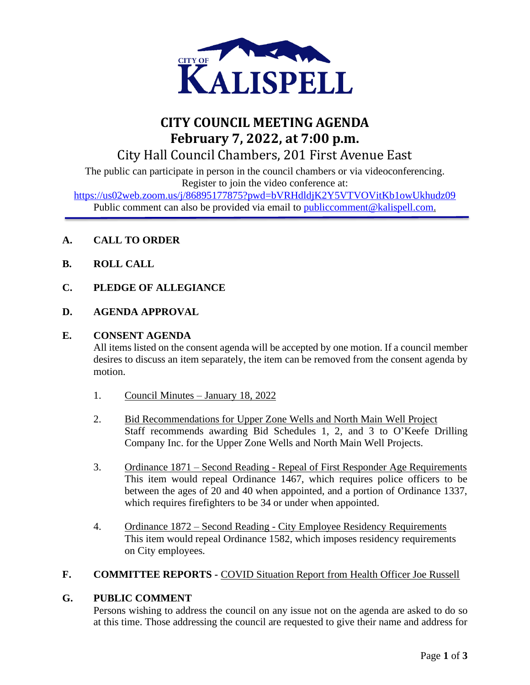

# **CITY COUNCIL MEETING AGENDA February 7, 2022, at 7:00 p.m.** City Hall Council Chambers, 201 First Avenue East

The public can participate in person in the council chambers or via videoconferencing. Register to join the video conference at:

<https://us02web.zoom.us/j/86895177875?pwd=bVRHdldjK2Y5VTVOVitKb1owUkhudz09> Public comment can also be provided via email to public comment@kalispell.com.

- **A. CALL TO ORDER**
- **B. ROLL CALL**
- **C. PLEDGE OF ALLEGIANCE**
- **D. AGENDA APPROVAL**

### **E. CONSENT AGENDA**

All items listed on the consent agenda will be accepted by one motion. If a council member desires to discuss an item separately, the item can be removed from the consent agenda by motion.

- 1. Council Minutes January 18, 2022
- 2. Bid Recommendations for Upper Zone Wells and North Main Well Project Staff recommends awarding Bid Schedules 1, 2, and 3 to O'Keefe Drilling Company Inc. for the Upper Zone Wells and North Main Well Projects.
- 3. Ordinance 1871 Second Reading Repeal of First Responder Age Requirements This item would repeal Ordinance 1467, which requires police officers to be between the ages of 20 and 40 when appointed, and a portion of Ordinance 1337, which requires firefighters to be 34 or under when appointed.
- 4. Ordinance 1872 Second Reading City Employee Residency Requirements This item would repeal Ordinance 1582, which imposes residency requirements on City employees.

## **F. COMMITTEE REPORTS -** COVID Situation Report from Health Officer Joe Russell

#### **G. PUBLIC COMMENT**

Persons wishing to address the council on any issue not on the agenda are asked to do so at this time. Those addressing the council are requested to give their name and address for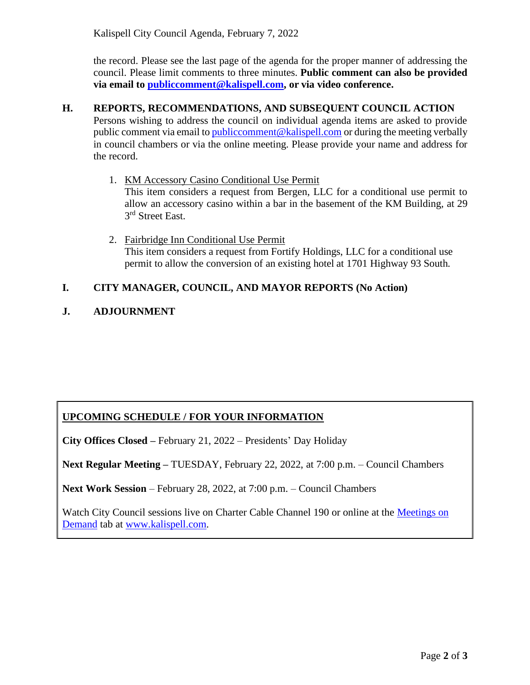the record. Please see the last page of the agenda for the proper manner of addressing the council. Please limit comments to three minutes. **Public comment can also be provided via email to [publiccomment@kalispell.com,](mailto:publiccomment@kalispell.com) or via video conference.**

## **H. REPORTS, RECOMMENDATIONS, AND SUBSEQUENT COUNCIL ACTION**

Persons wishing to address the council on individual agenda items are asked to provide public comment via email t[o publiccomment@kalispell.com](mailto:publiccomment@kalispell.com) or during the meeting verbally in council chambers or via the online meeting. Please provide your name and address for the record.

- 1. KM Accessory Casino Conditional Use Permit This item considers a request from Bergen, LLC for a conditional use permit to allow an accessory casino within a bar in the basement of the KM Building, at 29 3<sup>rd</sup> Street East.
- 2. Fairbridge Inn Conditional Use Permit This item considers a request from Fortify Holdings, LLC for a conditional use permit to allow the conversion of an existing hotel at 1701 Highway 93 South.

## **I. CITY MANAGER, COUNCIL, AND MAYOR REPORTS (No Action)**

### **J. ADJOURNMENT**

## **UPCOMING SCHEDULE / FOR YOUR INFORMATION**

**City Offices Closed –** February 21, 2022 – Presidents' Day Holiday

**Next Regular Meeting –** TUESDAY, February 22, 2022, at 7:00 p.m. – Council Chambers

**Next Work Session** – February 28, 2022, at 7:00 p.m. – Council Chambers

Watch City Council sessions live on Charter Cable Channel 190 or online at the Meetings on [Demand](http://www.kalispell.com/mayor_and_city_council/meetings.php) tab at [www.kalispell.com.](http://www.kalispell.com/)